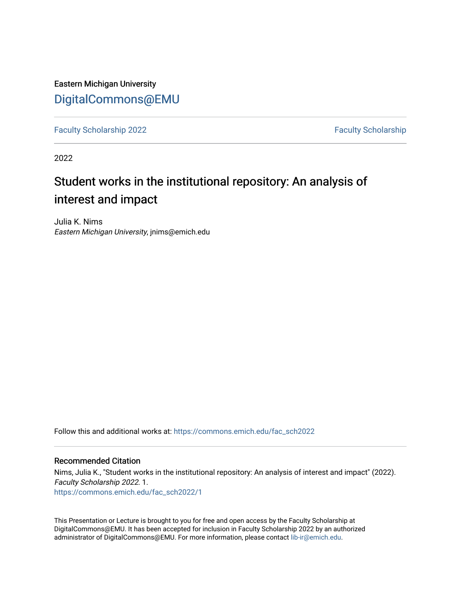Eastern Michigan University [DigitalCommons@EMU](https://commons.emich.edu/) 

[Faculty Scholarship 2022](https://commons.emich.edu/fac_sch2022) **[Faculty Scholarship](https://commons.emich.edu/fac_scholarship) 2022** Faculty Scholarship

2022

### Student works in the institutional repository: An analysis of interest and impact

Julia K. Nims Eastern Michigan University, jnims@emich.edu

Follow this and additional works at: [https://commons.emich.edu/fac\\_sch2022](https://commons.emich.edu/fac_sch2022?utm_source=commons.emich.edu%2Ffac_sch2022%2F1&utm_medium=PDF&utm_campaign=PDFCoverPages)

### Recommended Citation

Nims, Julia K., "Student works in the institutional repository: An analysis of interest and impact" (2022). Faculty Scholarship 2022. 1. [https://commons.emich.edu/fac\\_sch2022/1](https://commons.emich.edu/fac_sch2022/1?utm_source=commons.emich.edu%2Ffac_sch2022%2F1&utm_medium=PDF&utm_campaign=PDFCoverPages) 

This Presentation or Lecture is brought to you for free and open access by the Faculty Scholarship at DigitalCommons@EMU. It has been accepted for inclusion in Faculty Scholarship 2022 by an authorized administrator of DigitalCommons@EMU. For more information, please contact [lib-ir@emich.edu](mailto:lib-ir@emich.edu).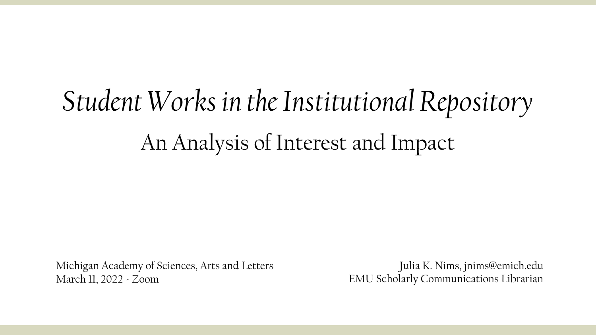# *Student Works in the Institutional Repository* An Analysis of Interest and Impact

Michigan Academy of Sciences, Arts and Letters March 11, 2022 - Zoom

Julia K. Nims, jnims@emich.edu EMU Scholarly Communications Librarian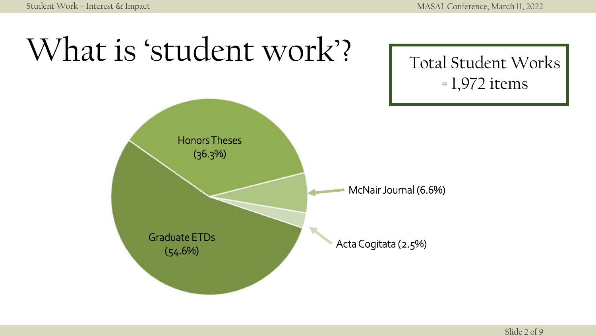# What is 'student work'?

Total Student Works = 1,972 items

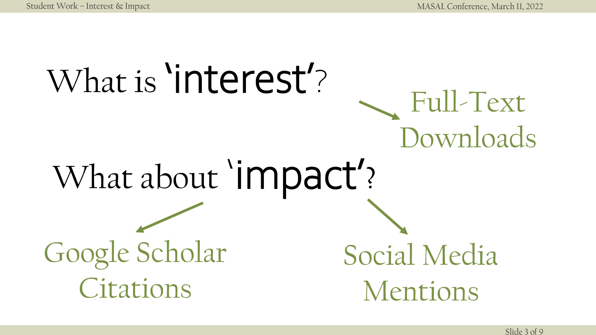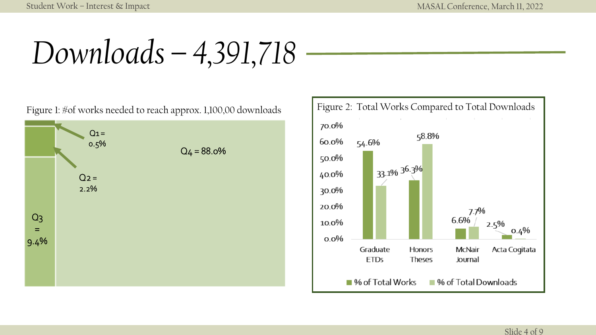*Downloads – 4,391,718*

 $Q_2 =$ 2.2%  $Q_1 =$ 0.5%  $Q<sub>3</sub>$ = 9.4%  $Q_4 = 88.0\%$ 



Slide 4 of 9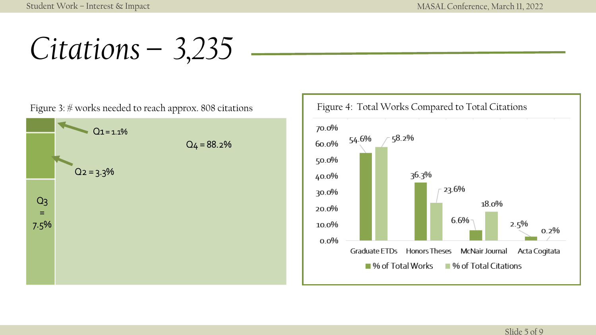*Citations – 3,235*

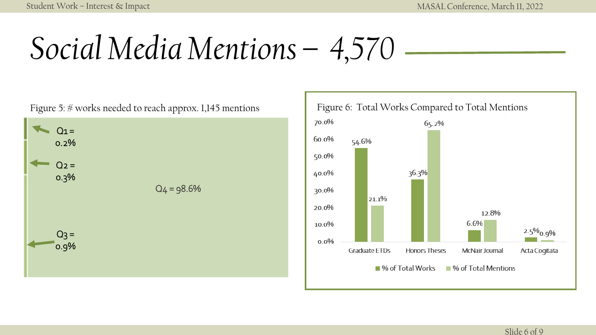# *Social Media Mentions – 4,570*



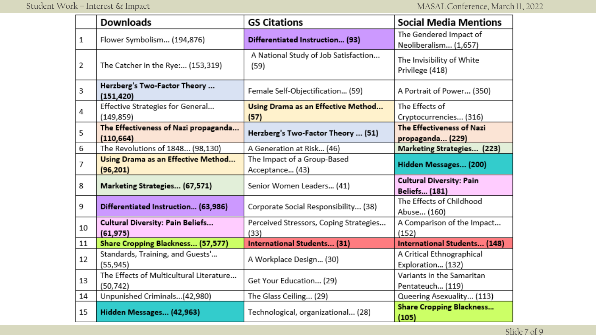|    | <b>Downloads</b>                                     | <b>GS Citations</b>                            | <b>Social Media Mentions</b>                            |
|----|------------------------------------------------------|------------------------------------------------|---------------------------------------------------------|
| 1  | Flower Symbolism (194,876)                           | Differentiated Instruction (93)                | The Gendered Impact of<br>Neoliberalism (1,657)         |
| 2  | The Catcher in the Rye: (153,319)                    | A National Study of Job Satisfaction<br>(59)   | The Invisibility of White<br>Privilege (418)            |
| 3  | Herzberg's Two-Factor Theory<br>(151, 420)           | Female Self-Objectification (59)               | A Portrait of Power (350)                               |
| 4  | Effective Strategies for General<br>(149, 859)       | Using Drama as an Effective Method<br>(57)     | The Effects of<br>Cryptocurrencies (316)                |
| 5  | The Effectiveness of Nazi propaganda<br>(110, 664)   | Herzberg's Two-Factor Theory  (51)             | The Effectiveness of Nazi<br>propaganda (229)           |
| 6  | The Revolutions of 1848 (98,130)                     | A Generation at Risk (46)                      | Marketing Strategies (223)                              |
| 7  | Using Drama as an Effective Method<br>(96, 201)      | The Impact of a Group-Based<br>Acceptance (43) | Hidden Messages (200)                                   |
| 8  | Marketing Strategies (67,571)                        | Senior Women Leaders (41)                      | <b>Cultural Diversity: Pain</b><br><b>Beliefs (181)</b> |
| 9  | Differentiated Instruction (63,986)                  | Corporate Social Responsibility (38)           | The Effects of Childhood<br>Abuse (160)                 |
| 10 | <b>Cultural Diversity: Pain Beliefs</b><br>(61, 975) | Perceived Stressors, Coping Strategies<br>(33) | A Comparison of the Impact<br>(152)                     |
| 11 | Share Cropping Blackness (57,577)                    | <b>International Students (31)</b>             | International Students (148)                            |
| 12 | Standards, Training, and Guests'<br>(55, 945)        | A Workplace Design (30)                        | A Critical Ethnographical<br>Exploration (132)          |
| 13 | The Effects of Multicultural Literature<br>(50, 742) | Get Your Education (29)                        | Variants in the Samaritan<br>Pentateuch (119)           |
| 14 | Unpunished Criminals(42,980)                         | The Glass Ceiling (29)                         | Queering Asexuality (113)                               |
| 15 | Hidden Messages (42,963)                             | Technological, organizational (28)             | <b>Share Cropping Blackness</b><br>(105)                |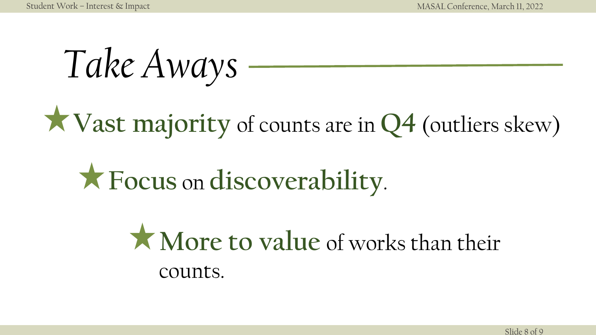*Take Aways*

## **Vast majority** of counts are in **Q4** (outliers skew)

## **Focus** on **discoverability**.

### **More to value** of works than their counts.